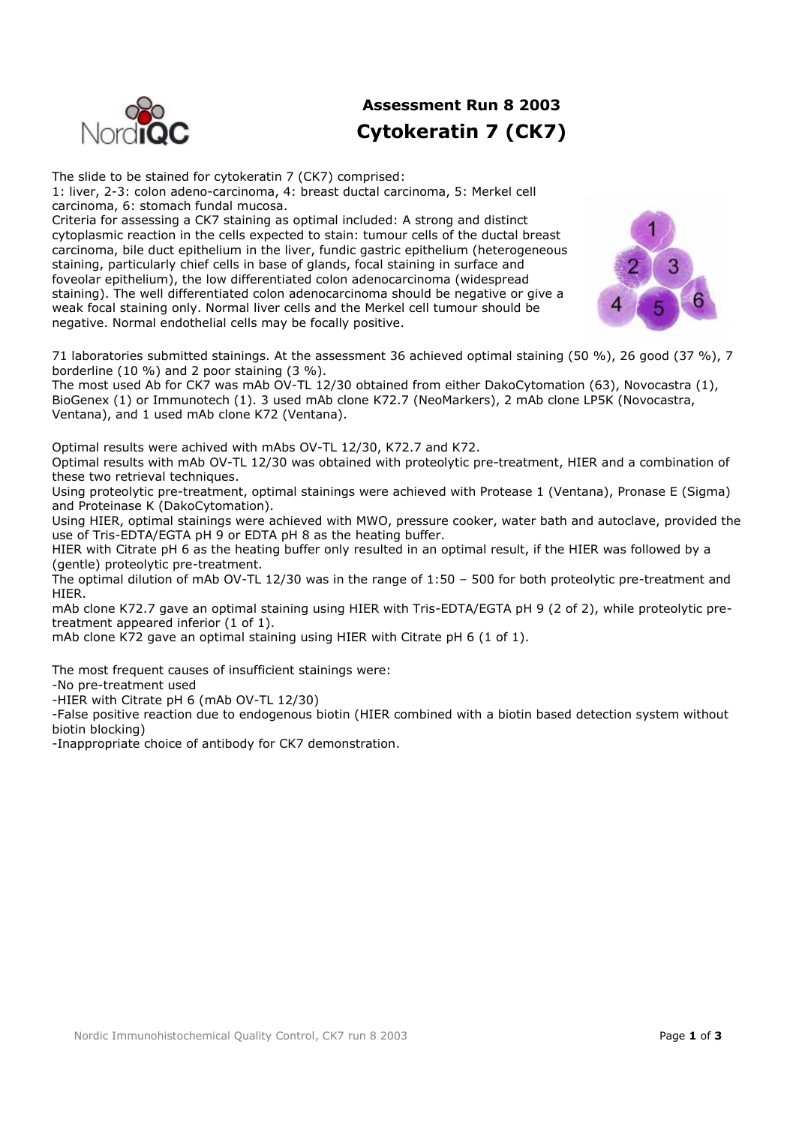

## **Assessment Run 8 2003 Cytokeratin 7 (CK7)**

The slide to be stained for cytokeratin 7 (CK7) comprised: 1: liver, 2-3: colon adeno-carcinoma, 4: breast ductal carcinoma, 5: Merkel cell carcinoma, 6: stomach fundal mucosa.

Criteria for assessing a CK7 staining as optimal included: A strong and distinct cytoplasmic reaction in the cells expected to stain: tumour cells of the ductal breast carcinoma, bile duct epithelium in the liver, fundic gastric epithelium (heterogeneous staining, particularly chief cells in base of glands, focal staining in surface and foveolar epithelium), the low differentiated colon adenocarcinoma (widespread staining). The well differentiated colon adenocarcinoma should be negative or give a weak focal staining only. Normal liver cells and the Merkel cell tumour should be negative. Normal endothelial cells may be focally positive.



71 laboratories submitted stainings. At the assessment 36 achieved optimal staining (50 %), 26 good (37 %), 7 borderline (10 %) and 2 poor staining (3 %).

The most used Ab for CK7 was mAb OV-TL 12/30 obtained from either DakoCytomation (63), Novocastra (1), BioGenex (1) or Immunotech (1). 3 used mAb clone K72.7 (NeoMarkers), 2 mAb clone LP5K (Novocastra, Ventana), and 1 used mAb clone K72 (Ventana).

Optimal results were achived with mAbs OV-TL 12/30, K72.7 and K72.

Optimal results with mAb OV-TL 12/30 was obtained with proteolytic pre-treatment, HIER and a combination of these two retrieval techniques.

Using proteolytic pre-treatment, optimal stainings were achieved with Protease 1 (Ventana), Pronase E (Sigma) and Proteinase K (DakoCytomation).

Using HIER, optimal stainings were achieved with MWO, pressure cooker, water bath and autoclave, provided the use of Tris-EDTA/EGTA pH 9 or EDTA pH 8 as the heating buffer.

HIER with Citrate pH 6 as the heating buffer only resulted in an optimal result, if the HIER was followed by a (gentle) proteolytic pre-treatment.

The optimal dilution of mAb OV-TL 12/30 was in the range of 1:50 – 500 for both proteolytic pre-treatment and HIER.

mAb clone K72.7 gave an optimal staining using HIER with Tris-EDTA/EGTA pH 9 (2 of 2), while proteolytic pretreatment appeared inferior (1 of 1).

mAb clone K72 gave an optimal staining using HIER with Citrate pH 6 (1 of 1).

The most frequent causes of insufficient stainings were:

-No pre-treatment used

-HIER with Citrate pH 6 (mAb OV-TL 12/30)

-False positive reaction due to endogenous biotin (HIER combined with a biotin based detection system without biotin blocking)

-Inappropriate choice of antibody for CK7 demonstration.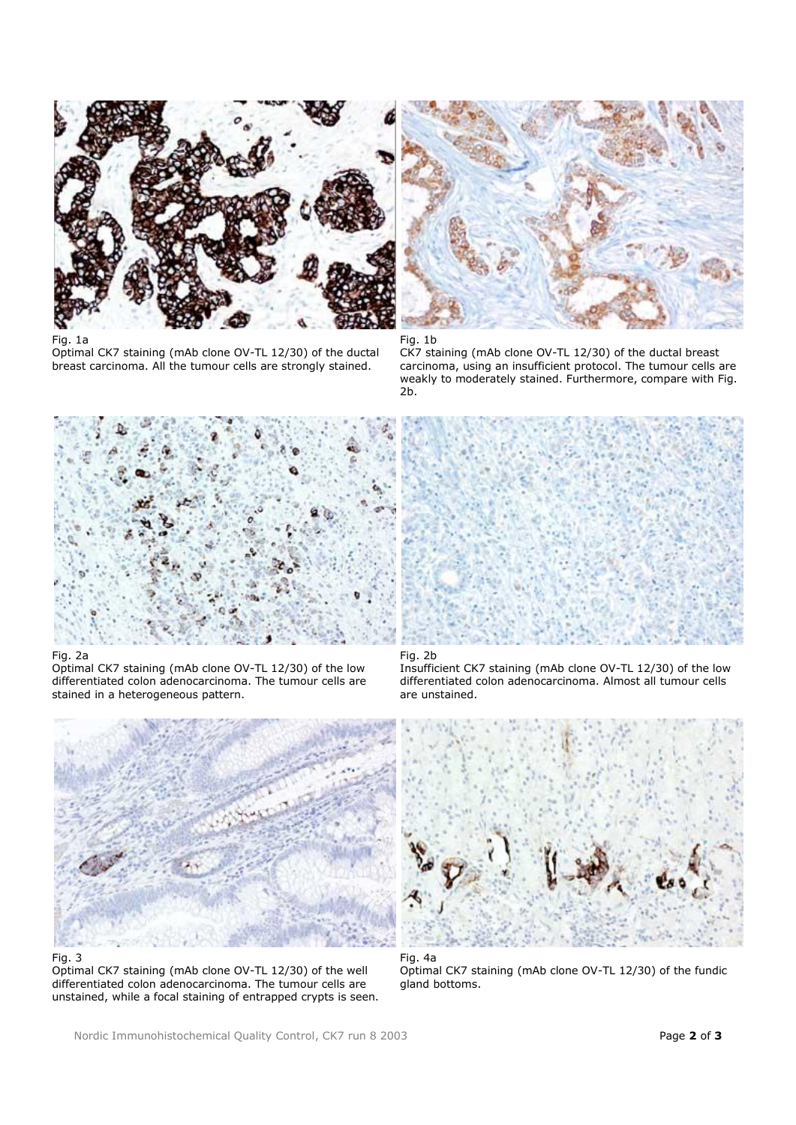

Fig. 1a

Optimal CK7 staining (mAb clone OV-TL 12/30) of the ductal breast carcinoma. All the tumour cells are strongly stained.



Fig. 1b CK7 staining (mAb clone OV-TL 12/30) of the ductal breast carcinoma, using an insufficient protocol. The tumour cells are weakly to moderately stained. Furthermore, compare with Fig. 2b.



## Fig. 2a

Optimal CK7 staining (mAb clone OV-TL 12/30) of the low differentiated colon adenocarcinoma. The tumour cells are stained in a heterogeneous pattern.



Fig. 3

Optimal CK7 staining (mAb clone OV-TL 12/30) of the well differentiated colon adenocarcinoma. The tumour cells are unstained, while a focal staining of entrapped crypts is seen.



## Fig. 2b

Insufficient CK7 staining (mAb clone OV-TL 12/30) of the low differentiated colon adenocarcinoma. Almost all tumour cells are unstained.